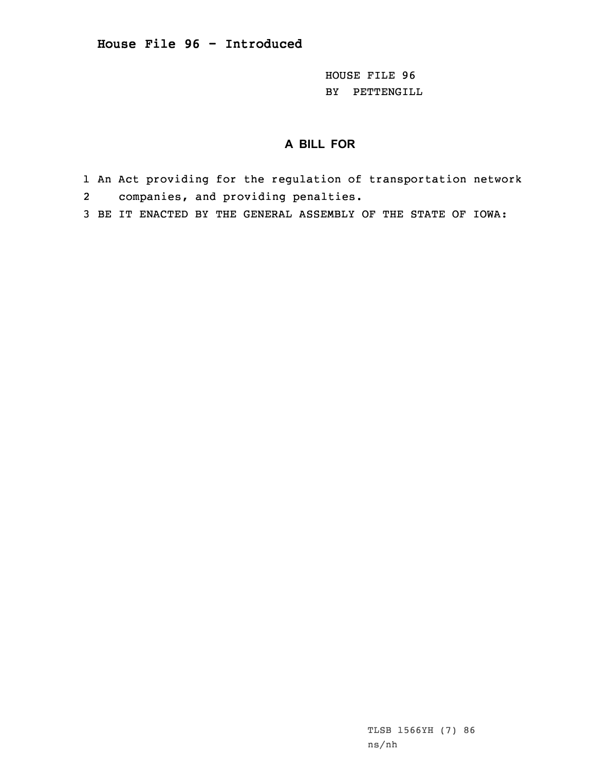HOUSE FILE 96 BY PETTENGILL

# **A BILL FOR**

- 1 An Act providing for the regulation of transportation network 2companies, and providing penalties.
- 3 BE IT ENACTED BY THE GENERAL ASSEMBLY OF THE STATE OF IOWA:

TLSB 1566YH (7) 86 ns/nh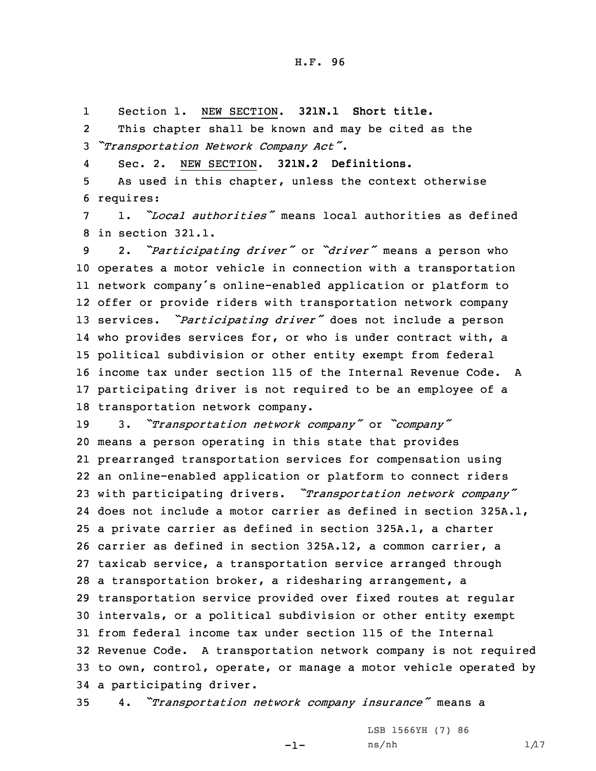1Section 1. NEW SECTION. **321N.1 Short title.**

2 This chapter shall be known and may be cited as the <sup>3</sup> *"Transportation Network Company Act"*.

4Sec. 2. NEW SECTION. **321N.2 Definitions.**

5 As used in this chapter, unless the context otherwise 6 requires:

7 1. *"Local authorities"* means local authorities as defined 8 in section 321.1.

 2. *"Participating driver"* or *"driver"* means <sup>a</sup> person who operates <sup>a</sup> motor vehicle in connection with <sup>a</sup> transportation network company's online-enabled application or platform to offer or provide riders with transportation network company services. *"Participating driver"* does not include <sup>a</sup> person who provides services for, or who is under contract with, <sup>a</sup> political subdivision or other entity exempt from federal income tax under section 115 of the Internal Revenue Code. A participating driver is not required to be an employee of <sup>a</sup> transportation network company.

 3. *"Transportation network company"* or *"company"* means <sup>a</sup> person operating in this state that provides prearranged transportation services for compensation using an online-enabled application or platform to connect riders with participating drivers. *"Transportation network company"* does not include <sup>a</sup> motor carrier as defined in section 325A.1, <sup>a</sup> private carrier as defined in section 325A.1, <sup>a</sup> charter carrier as defined in section 325A.12, <sup>a</sup> common carrier, <sup>a</sup> taxicab service, <sup>a</sup> transportation service arranged through <sup>a</sup> transportation broker, <sup>a</sup> ridesharing arrangement, <sup>a</sup> transportation service provided over fixed routes at regular intervals, or <sup>a</sup> political subdivision or other entity exempt from federal income tax under section 115 of the Internal Revenue Code. <sup>A</sup> transportation network company is not required to own, control, operate, or manage <sup>a</sup> motor vehicle operated by <sup>a</sup> participating driver.

<sup>35</sup> 4. *"Transportation network company insurance"* means <sup>a</sup>

-1-

LSB 1566YH (7) 86  $ns/nh$  1/17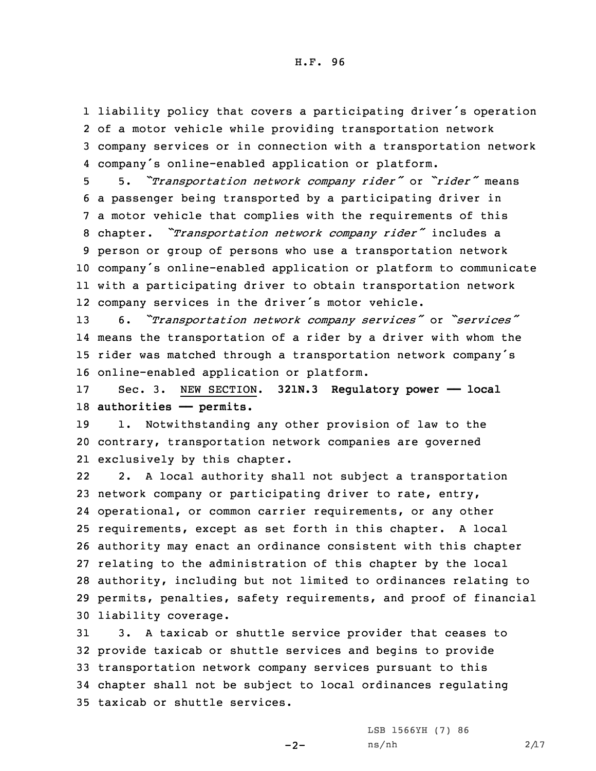liability policy that covers <sup>a</sup> participating driver's operation of <sup>a</sup> motor vehicle while providing transportation network company services or in connection with <sup>a</sup> transportation network company's online-enabled application or platform.

 5. *"Transportation network company rider"* or *"rider"* means <sup>a</sup> passenger being transported by <sup>a</sup> participating driver in <sup>a</sup> motor vehicle that complies with the requirements of this chapter. *"Transportation network company rider"* includes <sup>a</sup> person or group of persons who use <sup>a</sup> transportation network company's online-enabled application or platform to communicate with <sup>a</sup> participating driver to obtain transportation network company services in the driver's motor vehicle.

 6. *"Transportation network company services"* or *"services"* means the transportation of <sup>a</sup> rider by <sup>a</sup> driver with whom the rider was matched through <sup>a</sup> transportation network company's online-enabled application or platform.

17 Sec. 3. NEW SECTION. **321N.3 Regulatory power —— local** 18 **authorities —— permits.**

19 1. Notwithstanding any other provision of law to the 20 contrary, transportation network companies are governed 21 exclusively by this chapter.

22 2. <sup>A</sup> local authority shall not subject <sup>a</sup> transportation network company or participating driver to rate, entry, operational, or common carrier requirements, or any other requirements, except as set forth in this chapter. <sup>A</sup> local authority may enact an ordinance consistent with this chapter relating to the administration of this chapter by the local authority, including but not limited to ordinances relating to permits, penalties, safety requirements, and proof of financial liability coverage.

 3. <sup>A</sup> taxicab or shuttle service provider that ceases to provide taxicab or shuttle services and begins to provide transportation network company services pursuant to this chapter shall not be subject to local ordinances regulating taxicab or shuttle services.

 $-2-$ 

LSB 1566YH (7) 86  $ns/nh$  2/17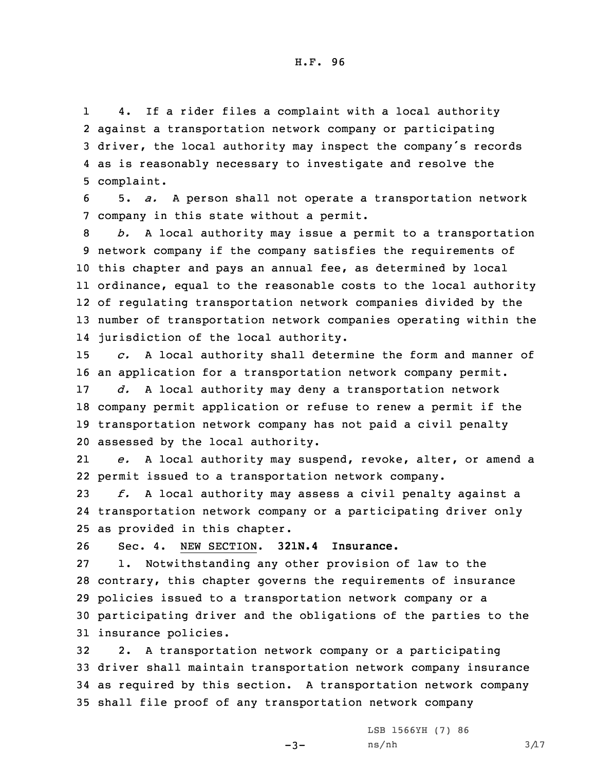1 4. If <sup>a</sup> rider files <sup>a</sup> complaint with <sup>a</sup> local authority against <sup>a</sup> transportation network company or participating driver, the local authority may inspect the company's records as is reasonably necessary to investigate and resolve the complaint.

6 5. *a.* <sup>A</sup> person shall not operate <sup>a</sup> transportation network 7 company in this state without <sup>a</sup> permit.

 *b.* <sup>A</sup> local authority may issue <sup>a</sup> permit to <sup>a</sup> transportation network company if the company satisfies the requirements of this chapter and pays an annual fee, as determined by local ordinance, equal to the reasonable costs to the local authority of regulating transportation network companies divided by the number of transportation network companies operating within the jurisdiction of the local authority.

15 *c.* <sup>A</sup> local authority shall determine the form and manner of 16 an application for <sup>a</sup> transportation network company permit.

 *d.* <sup>A</sup> local authority may deny <sup>a</sup> transportation network company permit application or refuse to renew <sup>a</sup> permit if the transportation network company has not paid <sup>a</sup> civil penalty assessed by the local authority.

21 *e.* <sup>A</sup> local authority may suspend, revoke, alter, or amend <sup>a</sup> 22 permit issued to <sup>a</sup> transportation network company.

23 *f.* <sup>A</sup> local authority may assess <sup>a</sup> civil penalty against <sup>a</sup> 24 transportation network company or <sup>a</sup> participating driver only 25 as provided in this chapter.

26 Sec. 4. NEW SECTION. **321N.4 Insurance.**

 1. Notwithstanding any other provision of law to the contrary, this chapter governs the requirements of insurance policies issued to <sup>a</sup> transportation network company or <sup>a</sup> participating driver and the obligations of the parties to the insurance policies.

 2. <sup>A</sup> transportation network company or <sup>a</sup> participating driver shall maintain transportation network company insurance as required by this section. <sup>A</sup> transportation network company shall file proof of any transportation network company

 $-3-$ 

LSB 1566YH (7) 86  $ns/nh$  3/17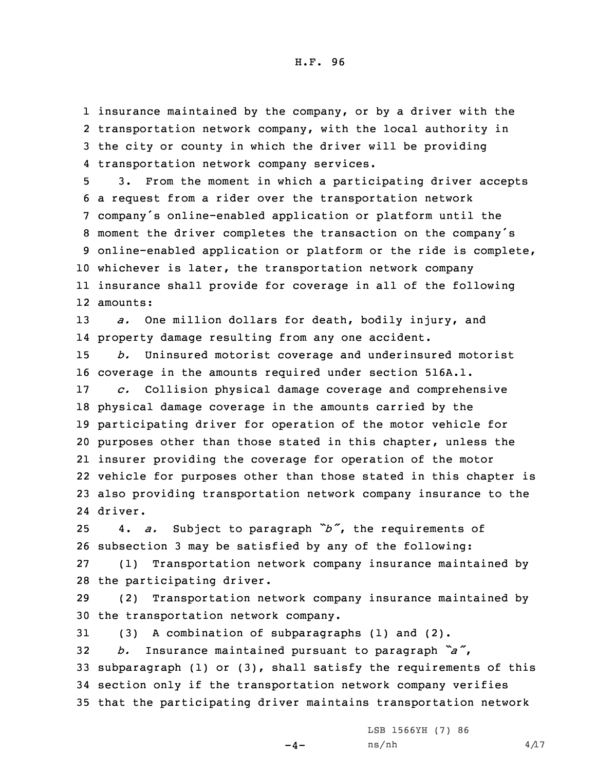insurance maintained by the company, or by <sup>a</sup> driver with the transportation network company, with the local authority in the city or county in which the driver will be providing transportation network company services.

 3. From the moment in which <sup>a</sup> participating driver accepts <sup>a</sup> request from <sup>a</sup> rider over the transportation network company's online-enabled application or platform until the moment the driver completes the transaction on the company's online-enabled application or platform or the ride is complete, whichever is later, the transportation network company insurance shall provide for coverage in all of the following 12 amounts:

13 *a.* One million dollars for death, bodily injury, and 14 property damage resulting from any one accident.

 *b.* Uninsured motorist coverage and underinsured motorist coverage in the amounts required under section 516A.1. *c.* Collision physical damage coverage and comprehensive physical damage coverage in the amounts carried by the participating driver for operation of the motor vehicle for purposes other than those stated in this chapter, unless the insurer providing the coverage for operation of the motor vehicle for purposes other than those stated in this chapter is also providing transportation network company insurance to the 24 driver.

<sup>25</sup> 4. *a.* Subject to paragraph *"b"*, the requirements of 26 subsection 3 may be satisfied by any of the following:

27 (1) Transportation network company insurance maintained by 28 the participating driver.

29 (2) Transportation network company insurance maintained by 30 the transportation network company.

 (3) <sup>A</sup> combination of subparagraphs (1) and (2). *b.* Insurance maintained pursuant to paragraph *"a"*, subparagraph (1) or (3), shall satisfy the requirements of this section only if the transportation network company verifies that the participating driver maintains transportation network

LSB 1566YH (7) 86

 $-4-$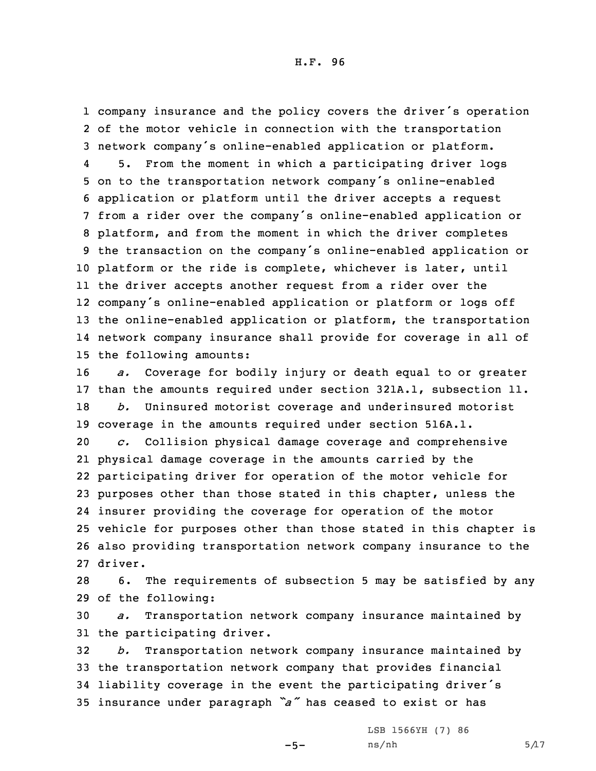1 company insurance and the policy covers the driver's operation 2 of the motor vehicle in connection with the transportation <sup>3</sup> network company's online-enabled application or platform.

4 5. From the moment in which <sup>a</sup> participating driver logs on to the transportation network company's online-enabled application or platform until the driver accepts <sup>a</sup> request from <sup>a</sup> rider over the company's online-enabled application or platform, and from the moment in which the driver completes the transaction on the company's online-enabled application or platform or the ride is complete, whichever is later, until the driver accepts another request from <sup>a</sup> rider over the company's online-enabled application or platform or logs off the online-enabled application or platform, the transportation network company insurance shall provide for coverage in all of the following amounts:

 *a.* Coverage for bodily injury or death equal to or greater than the amounts required under section 321A.1, subsection 11. *b.* Uninsured motorist coverage and underinsured motorist coverage in the amounts required under section 516A.1. *c.* Collision physical damage coverage and comprehensive physical damage coverage in the amounts carried by the participating driver for operation of the motor vehicle for purposes other than those stated in this chapter, unless the insurer providing the coverage for operation of the motor vehicle for purposes other than those stated in this chapter is also providing transportation network company insurance to the 27 driver.

28 6. The requirements of subsection 5 may be satisfied by any 29 of the following:

30 *a.* Transportation network company insurance maintained by 31 the participating driver.

 *b.* Transportation network company insurance maintained by the transportation network company that provides financial liability coverage in the event the participating driver's insurance under paragraph *"a"* has ceased to exist or has

 $-5-$ 

LSB 1566YH (7) 86  $ns/nh$  5/17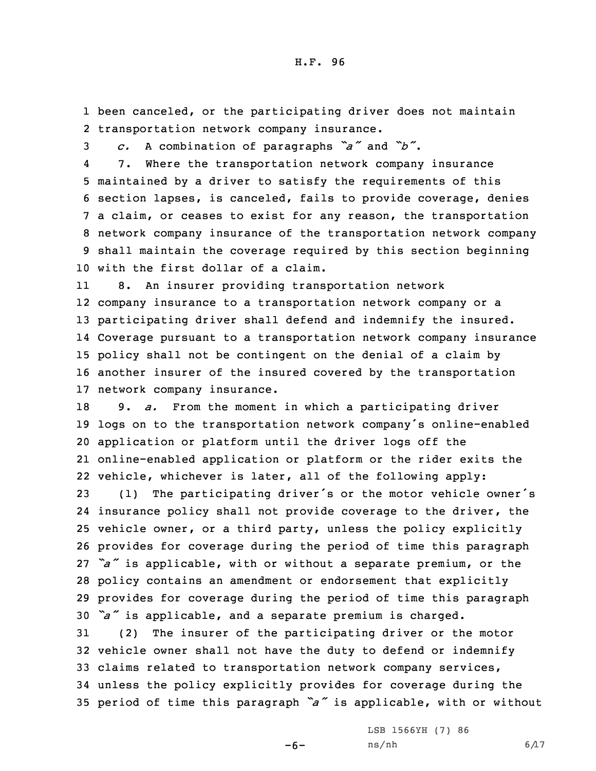1 been canceled, or the participating driver does not maintain 2 transportation network company insurance.

<sup>3</sup> *c.* <sup>A</sup> combination of paragraphs *"a"* and *"b"*.

4 7. Where the transportation network company insurance maintained by <sup>a</sup> driver to satisfy the requirements of this section lapses, is canceled, fails to provide coverage, denies <sup>a</sup> claim, or ceases to exist for any reason, the transportation network company insurance of the transportation network company shall maintain the coverage required by this section beginning with the first dollar of <sup>a</sup> claim.

11 8. An insurer providing transportation network company insurance to <sup>a</sup> transportation network company or <sup>a</sup> participating driver shall defend and indemnify the insured. Coverage pursuant to <sup>a</sup> transportation network company insurance policy shall not be contingent on the denial of <sup>a</sup> claim by another insurer of the insured covered by the transportation network company insurance.

 9. *a.* From the moment in which <sup>a</sup> participating driver logs on to the transportation network company's online-enabled application or platform until the driver logs off the online-enabled application or platform or the rider exits the vehicle, whichever is later, all of the following apply:

 (1) The participating driver's or the motor vehicle owner's insurance policy shall not provide coverage to the driver, the vehicle owner, or <sup>a</sup> third party, unless the policy explicitly provides for coverage during the period of time this paragraph *"a"* is applicable, with or without <sup>a</sup> separate premium, or the policy contains an amendment or endorsement that explicitly provides for coverage during the period of time this paragraph *"a"* is applicable, and <sup>a</sup> separate premium is charged.

 (2) The insurer of the participating driver or the motor vehicle owner shall not have the duty to defend or indemnify claims related to transportation network company services, unless the policy explicitly provides for coverage during the period of time this paragraph *"a"* is applicable, with or without

 $-6-$ 

LSB 1566YH (7) 86  $ns/nh$  6/17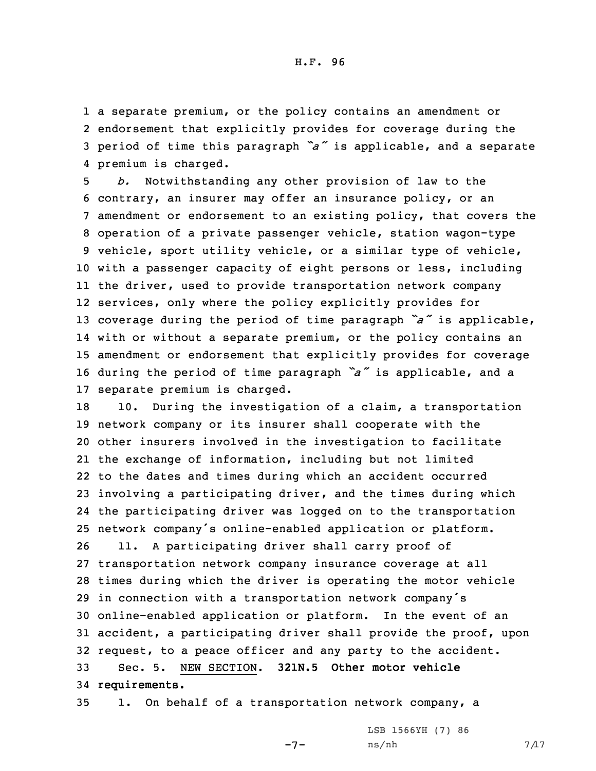<sup>a</sup> separate premium, or the policy contains an amendment or endorsement that explicitly provides for coverage during the period of time this paragraph *"a"* is applicable, and <sup>a</sup> separate premium is charged.

 *b.* Notwithstanding any other provision of law to the contrary, an insurer may offer an insurance policy, or an amendment or endorsement to an existing policy, that covers the operation of <sup>a</sup> private passenger vehicle, station wagon-type vehicle, sport utility vehicle, or <sup>a</sup> similar type of vehicle, with <sup>a</sup> passenger capacity of eight persons or less, including the driver, used to provide transportation network company services, only where the policy explicitly provides for coverage during the period of time paragraph *"a"* is applicable, with or without <sup>a</sup> separate premium, or the policy contains an amendment or endorsement that explicitly provides for coverage during the period of time paragraph *"a"* is applicable, and <sup>a</sup> separate premium is charged.

 10. During the investigation of <sup>a</sup> claim, <sup>a</sup> transportation network company or its insurer shall cooperate with the other insurers involved in the investigation to facilitate the exchange of information, including but not limited to the dates and times during which an accident occurred involving <sup>a</sup> participating driver, and the times during which the participating driver was logged on to the transportation network company's online-enabled application or platform.

 11. <sup>A</sup> participating driver shall carry proof of transportation network company insurance coverage at all times during which the driver is operating the motor vehicle in connection with <sup>a</sup> transportation network company's online-enabled application or platform. In the event of an accident, <sup>a</sup> participating driver shall provide the proof, upon request, to <sup>a</sup> peace officer and any party to the accident. Sec. 5. NEW SECTION. **321N.5 Other motor vehicle requirements.**

35 1. On behalf of <sup>a</sup> transportation network company, <sup>a</sup>

LSB 1566YH (7) 86

-7-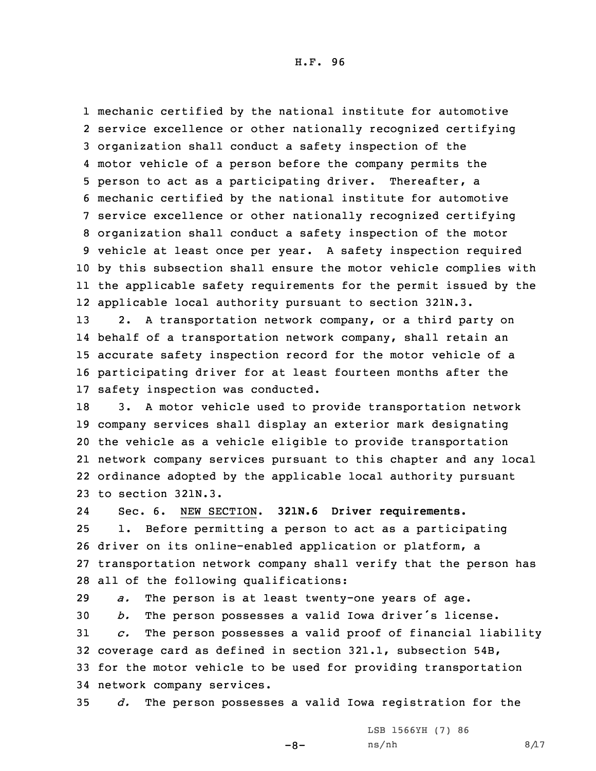mechanic certified by the national institute for automotive service excellence or other nationally recognized certifying organization shall conduct <sup>a</sup> safety inspection of the motor vehicle of <sup>a</sup> person before the company permits the person to act as <sup>a</sup> participating driver. Thereafter, <sup>a</sup> mechanic certified by the national institute for automotive service excellence or other nationally recognized certifying organization shall conduct <sup>a</sup> safety inspection of the motor vehicle at least once per year. <sup>A</sup> safety inspection required by this subsection shall ensure the motor vehicle complies with the applicable safety requirements for the permit issued by the applicable local authority pursuant to section 321N.3.

 2. <sup>A</sup> transportation network company, or <sup>a</sup> third party on behalf of <sup>a</sup> transportation network company, shall retain an accurate safety inspection record for the motor vehicle of <sup>a</sup> participating driver for at least fourteen months after the safety inspection was conducted.

 3. <sup>A</sup> motor vehicle used to provide transportation network company services shall display an exterior mark designating the vehicle as <sup>a</sup> vehicle eligible to provide transportation network company services pursuant to this chapter and any local ordinance adopted by the applicable local authority pursuant to section 321N.3.

24Sec. 6. NEW SECTION. **321N.6 Driver requirements.**

 1. Before permitting <sup>a</sup> person to act as <sup>a</sup> participating driver on its online-enabled application or platform, <sup>a</sup> transportation network company shall verify that the person has all of the following qualifications:

29 *a.* The person is at least twenty-one years of age.

 *b.* The person possesses <sup>a</sup> valid Iowa driver's license. *c.* The person possesses <sup>a</sup> valid proof of financial liability coverage card as defined in section 321.1, subsection 54B, for the motor vehicle to be used for providing transportation network company services.

35 *d.* The person possesses <sup>a</sup> valid Iowa registration for the

 $-8-$ 

LSB 1566YH (7) 86  $ns/nh$  8/17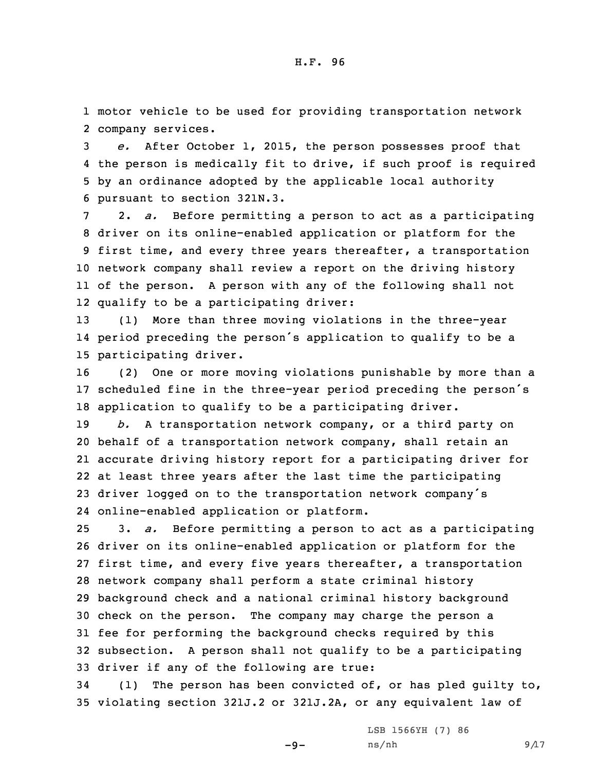1 motor vehicle to be used for providing transportation network 2 company services.

 *e.* After October 1, 2015, the person possesses proof that the person is medically fit to drive, if such proof is required by an ordinance adopted by the applicable local authority pursuant to section 321N.3.

 2. *a.* Before permitting <sup>a</sup> person to act as <sup>a</sup> participating driver on its online-enabled application or platform for the first time, and every three years thereafter, <sup>a</sup> transportation network company shall review <sup>a</sup> report on the driving history of the person. <sup>A</sup> person with any of the following shall not qualify to be <sup>a</sup> participating driver:

13 (1) More than three moving violations in the three-year 14 period preceding the person's application to qualify to be <sup>a</sup> 15 participating driver.

16 (2) One or more moving violations punishable by more than <sup>a</sup> <sup>17</sup> scheduled fine in the three-year period preceding the person's 18 application to qualify to be <sup>a</sup> participating driver.

 *b.* <sup>A</sup> transportation network company, or <sup>a</sup> third party on behalf of <sup>a</sup> transportation network company, shall retain an accurate driving history report for <sup>a</sup> participating driver for at least three years after the last time the participating driver logged on to the transportation network company's online-enabled application or platform.

 3. *a.* Before permitting <sup>a</sup> person to act as <sup>a</sup> participating driver on its online-enabled application or platform for the first time, and every five years thereafter, <sup>a</sup> transportation network company shall perform <sup>a</sup> state criminal history background check and <sup>a</sup> national criminal history background check on the person. The company may charge the person <sup>a</sup> fee for performing the background checks required by this subsection. <sup>A</sup> person shall not qualify to be <sup>a</sup> participating driver if any of the following are true:

34 (1) The person has been convicted of, or has pled guilty to, 35 violating section 321J.2 or 321J.2A, or any equivalent law of

 $-9-$ 

LSB 1566YH (7) 86  $ns/nh$  9/17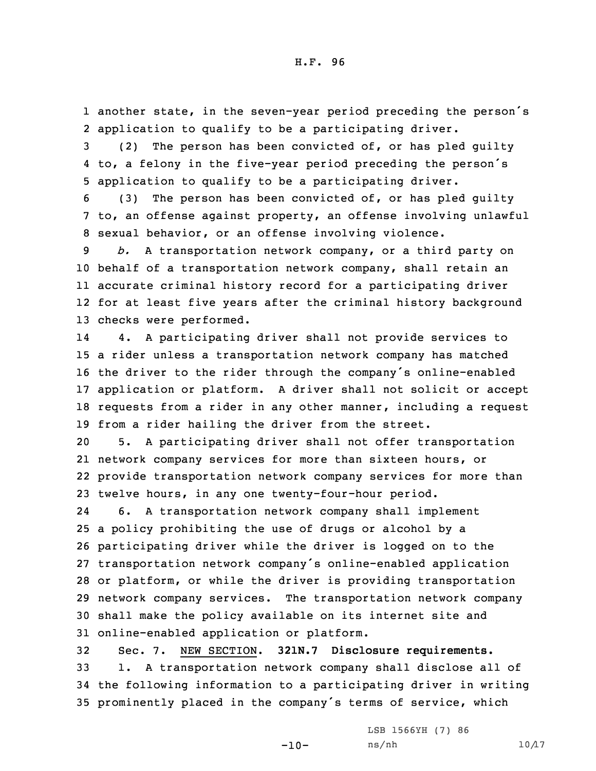1 another state, in the seven-year period preceding the person's 2 application to qualify to be <sup>a</sup> participating driver.

3 (2) The person has been convicted of, or has pled guilty 4 to, <sup>a</sup> felony in the five-year period preceding the person's 5 application to qualify to be <sup>a</sup> participating driver.

6 (3) The person has been convicted of, or has pled guilty 7 to, an offense against property, an offense involving unlawful 8 sexual behavior, or an offense involving violence.

 *b.* <sup>A</sup> transportation network company, or <sup>a</sup> third party on behalf of <sup>a</sup> transportation network company, shall retain an accurate criminal history record for <sup>a</sup> participating driver for at least five years after the criminal history background checks were performed.

14 4. <sup>A</sup> participating driver shall not provide services to <sup>a</sup> rider unless <sup>a</sup> transportation network company has matched the driver to the rider through the company's online-enabled application or platform. <sup>A</sup> driver shall not solicit or accept requests from <sup>a</sup> rider in any other manner, including <sup>a</sup> request from <sup>a</sup> rider hailing the driver from the street.

 5. <sup>A</sup> participating driver shall not offer transportation network company services for more than sixteen hours, or provide transportation network company services for more than twelve hours, in any one twenty-four-hour period.

24 6. <sup>A</sup> transportation network company shall implement <sup>a</sup> policy prohibiting the use of drugs or alcohol by <sup>a</sup> participating driver while the driver is logged on to the transportation network company's online-enabled application or platform, or while the driver is providing transportation network company services. The transportation network company shall make the policy available on its internet site and online-enabled application or platform.

 Sec. 7. NEW SECTION. **321N.7 Disclosure requirements.** 1. <sup>A</sup> transportation network company shall disclose all of the following information to <sup>a</sup> participating driver in writing prominently placed in the company's terms of service, which

LSB 1566YH (7) 86

 $-10-$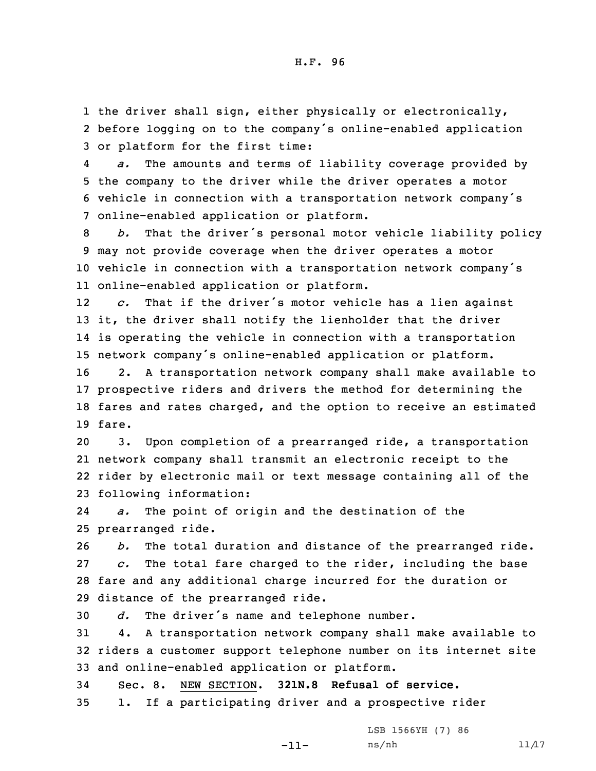1 the driver shall sign, either physically or electronically, 2 before logging on to the company's online-enabled application 3 or platform for the first time:

4 *a.* The amounts and terms of liability coverage provided by 5 the company to the driver while the driver operates <sup>a</sup> motor <sup>6</sup> vehicle in connection with <sup>a</sup> transportation network company's 7 online-enabled application or platform.

 *b.* That the driver's personal motor vehicle liability policy may not provide coverage when the driver operates <sup>a</sup> motor vehicle in connection with <sup>a</sup> transportation network company's online-enabled application or platform.

12 *c.* That if the driver's motor vehicle has <sup>a</sup> lien against 13 it, the driver shall notify the lienholder that the driver 14 is operating the vehicle in connection with <sup>a</sup> transportation <sup>15</sup> network company's online-enabled application or platform.

 2. <sup>A</sup> transportation network company shall make available to prospective riders and drivers the method for determining the fares and rates charged, and the option to receive an estimated 19 fare.

 3. Upon completion of <sup>a</sup> prearranged ride, <sup>a</sup> transportation network company shall transmit an electronic receipt to the rider by electronic mail or text message containing all of the following information:

24 *a.* The point of origin and the destination of the 25 prearranged ride.

 *b.* The total duration and distance of the prearranged ride. *c.* The total fare charged to the rider, including the base fare and any additional charge incurred for the duration or distance of the prearranged ride.

<sup>30</sup> *d.* The driver's name and telephone number.

31 4. <sup>A</sup> transportation network company shall make available to 32 riders <sup>a</sup> customer support telephone number on its internet site 33 and online-enabled application or platform.

34 Sec. 8. NEW SECTION. **321N.8 Refusal of service.** 35 1. If <sup>a</sup> participating driver and <sup>a</sup> prospective rider

-11-

LSB 1566YH (7) 86  $ns/nh$  11/17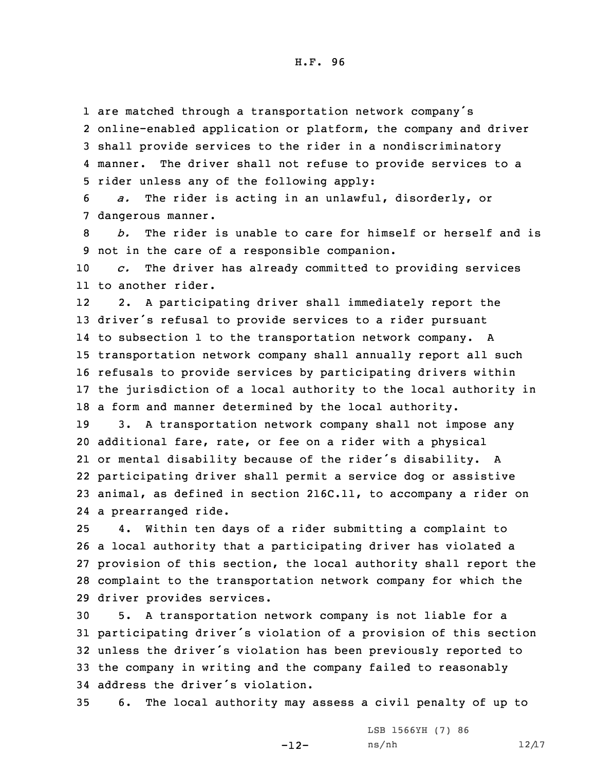1 are matched through <sup>a</sup> transportation network company's

2 online-enabled application or platform, the company and driver 3 shall provide services to the rider in <sup>a</sup> nondiscriminatory 4 manner. The driver shall not refuse to provide services to a 5 rider unless any of the following apply:

6 *a.* The rider is acting in an unlawful, disorderly, or 7 dangerous manner.

8 *b.* The rider is unable to care for himself or herself and is 9 not in the care of <sup>a</sup> responsible companion.

10 *c.* The driver has already committed to providing services 11 to another rider.

12 2. <sup>A</sup> participating driver shall immediately report the driver's refusal to provide services to <sup>a</sup> rider pursuant to subsection 1 to the transportation network company. <sup>A</sup> transportation network company shall annually report all such refusals to provide services by participating drivers within the jurisdiction of <sup>a</sup> local authority to the local authority in <sup>a</sup> form and manner determined by the local authority.

 3. <sup>A</sup> transportation network company shall not impose any additional fare, rate, or fee on <sup>a</sup> rider with <sup>a</sup> physical or mental disability because of the rider's disability. <sup>A</sup> participating driver shall permit <sup>a</sup> service dog or assistive animal, as defined in section 216C.11, to accompany <sup>a</sup> rider on <sup>a</sup> prearranged ride.

 4. Within ten days of <sup>a</sup> rider submitting <sup>a</sup> complaint to <sup>a</sup> local authority that <sup>a</sup> participating driver has violated <sup>a</sup> provision of this section, the local authority shall report the complaint to the transportation network company for which the driver provides services.

 5. <sup>A</sup> transportation network company is not liable for <sup>a</sup> participating driver's violation of <sup>a</sup> provision of this section unless the driver's violation has been previously reported to the company in writing and the company failed to reasonably address the driver's violation.

35 6. The local authority may assess <sup>a</sup> civil penalty of up to

-12-

LSB 1566YH (7) 86  $ns/nh$  12/17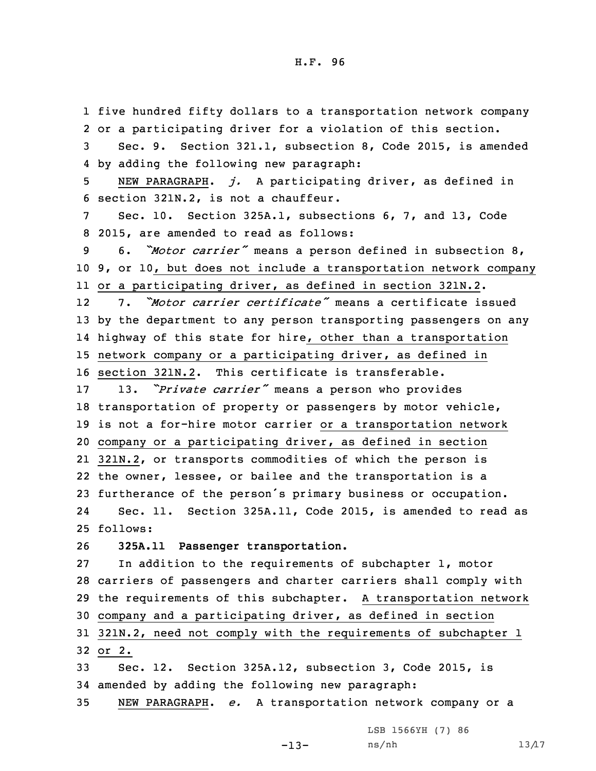five hundred fifty dollars to <sup>a</sup> transportation network company or <sup>a</sup> participating driver for <sup>a</sup> violation of this section. Sec. 9. Section 321.1, subsection 8, Code 2015, is amended by adding the following new paragraph: NEW PARAGRAPH. *j.* <sup>A</sup> participating driver, as defined in section 321N.2, is not <sup>a</sup> chauffeur. Sec. 10. Section 325A.1, subsections 6, 7, and 13, Code 2015, are amended to read as follows: 6. *"Motor carrier"* means <sup>a</sup> person defined in subsection 8, 9, or 10, but does not include <sup>a</sup> transportation network company or <sup>a</sup> participating driver, as defined in section 321N.2. 12 7. *"Motor carrier certificate"* means <sup>a</sup> certificate issued by the department to any person transporting passengers on any highway of this state for hire, other than <sup>a</sup> transportation network company or <sup>a</sup> participating driver, as defined in section 321N.2. This certificate is transferable. 13. *"Private carrier"* means <sup>a</sup> person who provides transportation of property or passengers by motor vehicle, is not <sup>a</sup> for-hire motor carrier or <sup>a</sup> transportation network company or <sup>a</sup> participating driver, as defined in section 321N.2, or transports commodities of which the person is the owner, lessee, or bailee and the transportation is <sup>a</sup> furtherance of the person's primary business or occupation. 24 Sec. 11. Section 325A.11, Code 2015, is amended to read as 25 follows: **325A.11 Passenger transportation.** In addition to the requirements of subchapter 1, motor carriers of passengers and charter carriers shall comply with the requirements of this subchapter. <sup>A</sup> transportation network company and <sup>a</sup> participating driver, as defined in section 321N.2, need not comply with the requirements of subchapter 1 32 or 2. Sec. 12. Section 325A.12, subsection 3, Code 2015, is amended by adding the following new paragraph: NEW PARAGRAPH. *e.* <sup>A</sup> transportation network company or <sup>a</sup>

LSB 1566YH (7) 86

-13-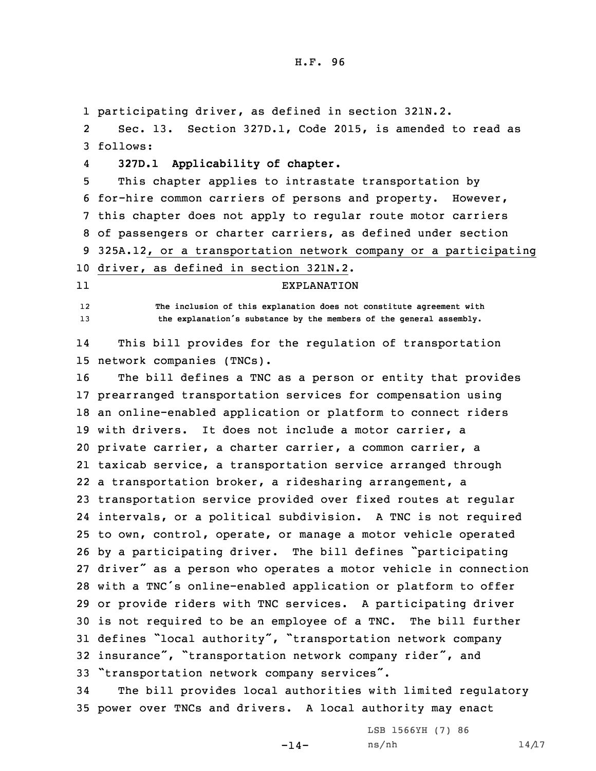1 participating driver, as defined in section 321N.2.

2 Sec. 13. Section 327D.1, Code 2015, is amended to read as 3 follows:

4**327D.1 Applicability of chapter.**

 This chapter applies to intrastate transportation by for-hire common carriers of persons and property. However, this chapter does not apply to regular route motor carriers of passengers or charter carriers, as defined under section 325A.12, or <sup>a</sup> transportation network company or <sup>a</sup> participating driver, as defined in section 321N.2.

11

EXPLANATION

12 **The inclusion of this explanation does not constitute agreement with** <sup>13</sup> **the explanation's substance by the members of the general assembly.**

14 This bill provides for the regulation of transportation 15 network companies (TNCs).

 The bill defines <sup>a</sup> TNC as <sup>a</sup> person or entity that provides prearranged transportation services for compensation using an online-enabled application or platform to connect riders with drivers. It does not include <sup>a</sup> motor carrier, <sup>a</sup> private carrier, <sup>a</sup> charter carrier, <sup>a</sup> common carrier, <sup>a</sup> taxicab service, <sup>a</sup> transportation service arranged through <sup>a</sup> transportation broker, <sup>a</sup> ridesharing arrangement, <sup>a</sup> transportation service provided over fixed routes at regular intervals, or <sup>a</sup> political subdivision. <sup>A</sup> TNC is not required to own, control, operate, or manage <sup>a</sup> motor vehicle operated by <sup>a</sup> participating driver. The bill defines "participating driver" as <sup>a</sup> person who operates <sup>a</sup> motor vehicle in connection with <sup>a</sup> TNC's online-enabled application or platform to offer or provide riders with TNC services. <sup>A</sup> participating driver is not required to be an employee of <sup>a</sup> TNC. The bill further defines "local authority", "transportation network company insurance", "transportation network company rider", and "transportation network company services".

34 The bill provides local authorities with limited regulatory 35 power over TNCs and drivers. <sup>A</sup> local authority may enact

> LSB 1566YH (7) 86  $ns/nh$  14/17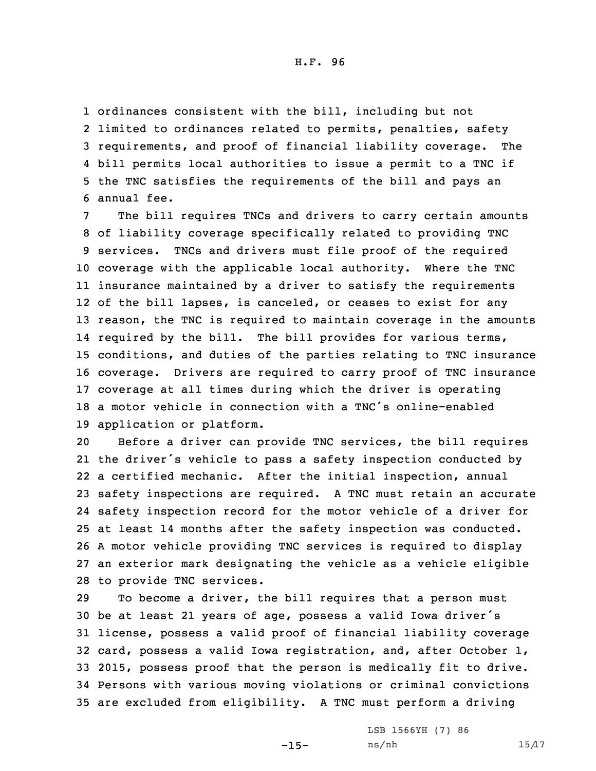1 ordinances consistent with the bill, including but not

 limited to ordinances related to permits, penalties, safety requirements, and proof of financial liability coverage. The bill permits local authorities to issue <sup>a</sup> permit to <sup>a</sup> TNC if the TNC satisfies the requirements of the bill and pays an annual fee.

 The bill requires TNCs and drivers to carry certain amounts of liability coverage specifically related to providing TNC services. TNCs and drivers must file proof of the required coverage with the applicable local authority. Where the TNC insurance maintained by <sup>a</sup> driver to satisfy the requirements of the bill lapses, is canceled, or ceases to exist for any reason, the TNC is required to maintain coverage in the amounts required by the bill. The bill provides for various terms, conditions, and duties of the parties relating to TNC insurance coverage. Drivers are required to carry proof of TNC insurance coverage at all times during which the driver is operating <sup>a</sup> motor vehicle in connection with <sup>a</sup> TNC's online-enabled application or platform.

 Before <sup>a</sup> driver can provide TNC services, the bill requires the driver's vehicle to pass <sup>a</sup> safety inspection conducted by <sup>a</sup> certified mechanic. After the initial inspection, annual safety inspections are required. <sup>A</sup> TNC must retain an accurate safety inspection record for the motor vehicle of <sup>a</sup> driver for at least 14 months after the safety inspection was conducted. <sup>A</sup> motor vehicle providing TNC services is required to display an exterior mark designating the vehicle as <sup>a</sup> vehicle eligible to provide TNC services.

 To become <sup>a</sup> driver, the bill requires that <sup>a</sup> person must be at least <sup>21</sup> years of age, possess <sup>a</sup> valid Iowa driver's license, possess <sup>a</sup> valid proof of financial liability coverage card, possess <sup>a</sup> valid Iowa registration, and, after October 1, 2015, possess proof that the person is medically fit to drive. Persons with various moving violations or criminal convictions are excluded from eligibility. <sup>A</sup> TNC must perform <sup>a</sup> driving

 $-15-$ 

LSB 1566YH (7) 86  $ns/nh$  15/17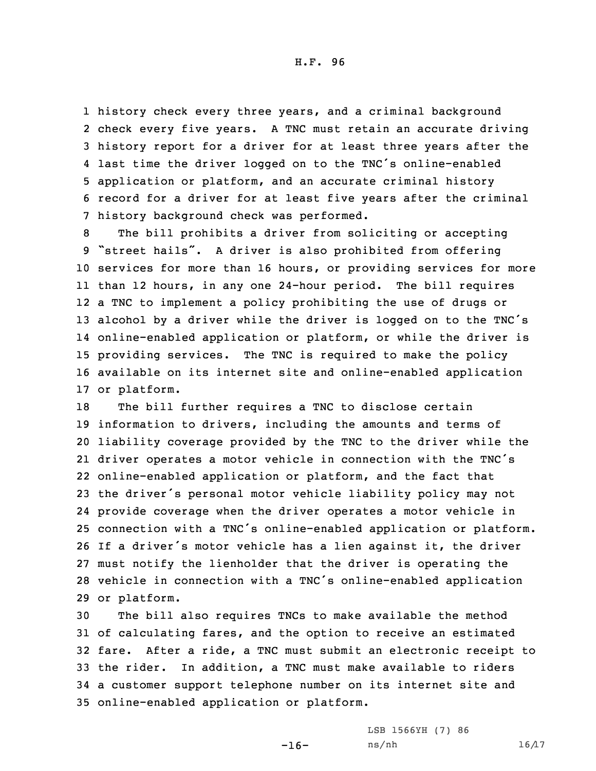history check every three years, and <sup>a</sup> criminal background check every five years. <sup>A</sup> TNC must retain an accurate driving history report for <sup>a</sup> driver for at least three years after the last time the driver logged on to the TNC's online-enabled application or platform, and an accurate criminal history record for <sup>a</sup> driver for at least five years after the criminal history background check was performed.

 The bill prohibits <sup>a</sup> driver from soliciting or accepting "street hails". <sup>A</sup> driver is also prohibited from offering services for more than 16 hours, or providing services for more than 12 hours, in any one 24-hour period. The bill requires <sup>a</sup> TNC to implement <sup>a</sup> policy prohibiting the use of drugs or alcohol by <sup>a</sup> driver while the driver is logged on to the TNC's online-enabled application or platform, or while the driver is providing services. The TNC is required to make the policy available on its internet site and online-enabled application or platform.

 The bill further requires <sup>a</sup> TNC to disclose certain information to drivers, including the amounts and terms of liability coverage provided by the TNC to the driver while the driver operates <sup>a</sup> motor vehicle in connection with the TNC's online-enabled application or platform, and the fact that the driver's personal motor vehicle liability policy may not provide coverage when the driver operates <sup>a</sup> motor vehicle in connection with <sup>a</sup> TNC's online-enabled application or platform. If <sup>a</sup> driver's motor vehicle has <sup>a</sup> lien against it, the driver must notify the lienholder that the driver is operating the vehicle in connection with <sup>a</sup> TNC's online-enabled application or platform.

 The bill also requires TNCs to make available the method of calculating fares, and the option to receive an estimated fare. After <sup>a</sup> ride, <sup>a</sup> TNC must submit an electronic receipt to the rider. In addition, <sup>a</sup> TNC must make available to riders <sup>a</sup> customer support telephone number on its internet site and online-enabled application or platform.

-16-

LSB 1566YH (7) 86  $ns/nh$  16/17